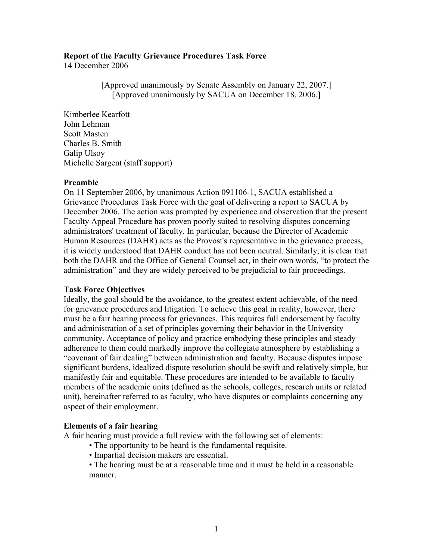### **Report of the Faculty Grievance Procedures Task Force**

14 December 2006

[Approved unanimously by Senate Assembly on January 22, 2007.] [Approved unanimously by SACUA on December 18, 2006.]

Kimberlee Kearfott John Lehman Scott Masten Charles B. Smith Galip Ulsoy Michelle Sargent (staff support)

### **Preamble**

On 11 September 2006, by unanimous Action 091106-1, SACUA established a Grievance Procedures Task Force with the goal of delivering a report to SACUA by December 2006. The action was prompted by experience and observation that the present Faculty Appeal Procedure has proven poorly suited to resolving disputes concerning administrators' treatment of faculty. In particular, because the Director of Academic Human Resources (DAHR) acts as the Provost's representative in the grievance process, it is widely understood that DAHR conduct has not been neutral. Similarly, it is clear that both the DAHR and the Office of General Counsel act, in their own words, "to protect the administration" and they are widely perceived to be prejudicial to fair proceedings.

## **Task Force Objectives**

Ideally, the goal should be the avoidance, to the greatest extent achievable, of the need for grievance procedures and litigation. To achieve this goal in reality, however, there must be a fair hearing process for grievances. This requires full endorsement by faculty and administration of a set of principles governing their behavior in the University community. Acceptance of policy and practice embodying these principles and steady adherence to them could markedly improve the collegiate atmosphere by establishing a "covenant of fair dealing" between administration and faculty. Because disputes impose significant burdens, idealized dispute resolution should be swift and relatively simple, but manifestly fair and equitable. These procedures are intended to be available to faculty members of the academic units (defined as the schools, colleges, research units or related unit), hereinafter referred to as faculty, who have disputes or complaints concerning any aspect of their employment.

### **Elements of a fair hearing**

A fair hearing must provide a full review with the following set of elements:

- The opportunity to be heard is the fundamental requisite.
- Impartial decision makers are essential.

• The hearing must be at a reasonable time and it must be held in a reasonable manner.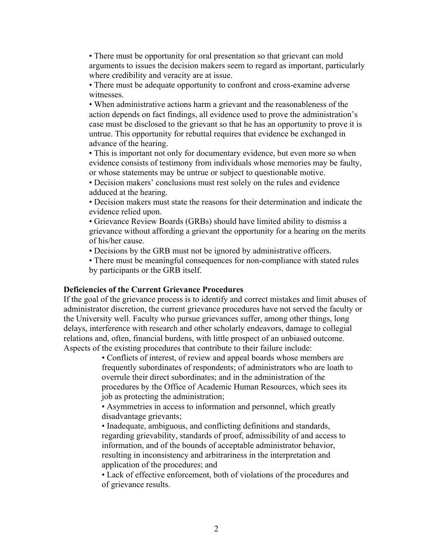• There must be opportunity for oral presentation so that grievant can mold arguments to issues the decision makers seem to regard as important, particularly where credibility and veracity are at issue.

• There must be adequate opportunity to confront and cross-examine adverse witnesses.

• When administrative actions harm a grievant and the reasonableness of the action depends on fact findings, all evidence used to prove the administration's case must be disclosed to the grievant so that he has an opportunity to prove it is untrue. This opportunity for rebuttal requires that evidence be exchanged in advance of the hearing.

• This is important not only for documentary evidence, but even more so when evidence consists of testimony from individuals whose memories may be faulty, or whose statements may be untrue or subject to questionable motive.

• Decision makers' conclusions must rest solely on the rules and evidence adduced at the hearing.

• Decision makers must state the reasons for their determination and indicate the evidence relied upon.

• Grievance Review Boards (GRBs) should have limited ability to dismiss a grievance without affording a grievant the opportunity for a hearing on the merits of his/her cause.

• Decisions by the GRB must not be ignored by administrative officers.

• There must be meaningful consequences for non-compliance with stated rules by participants or the GRB itself.

#### **Deficiencies of the Current Grievance Procedures**

If the goal of the grievance process is to identify and correct mistakes and limit abuses of administrator discretion, the current grievance procedures have not served the faculty or the University well. Faculty who pursue grievances suffer, among other things, long delays, interference with research and other scholarly endeavors, damage to collegial relations and, often, financial burdens, with little prospect of an unbiased outcome. Aspects of the existing procedures that contribute to their failure include:

> • Conflicts of interest, of review and appeal boards whose members are frequently subordinates of respondents; of administrators who are loath to overrule their direct subordinates; and in the administration of the procedures by the Office of Academic Human Resources, which sees its job as protecting the administration;

• Asymmetries in access to information and personnel, which greatly disadvantage grievants;

• Inadequate, ambiguous, and conflicting definitions and standards, regarding grievability, standards of proof, admissibility of and access to information, and of the bounds of acceptable administrator behavior, resulting in inconsistency and arbitrariness in the interpretation and application of the procedures; and

• Lack of effective enforcement, both of violations of the procedures and of grievance results.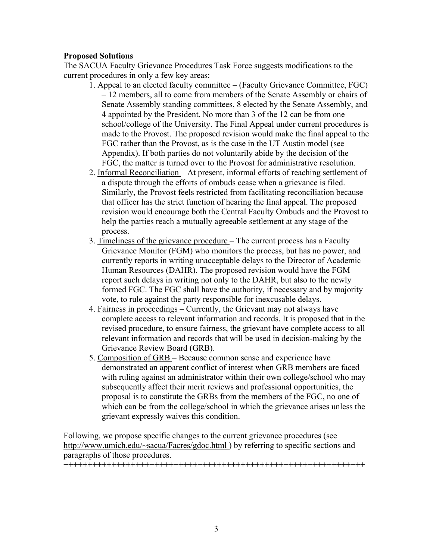### **Proposed Solutions**

The SACUA Faculty Grievance Procedures Task Force suggests modifications to the current procedures in only a few key areas:

- 1. Appeal to an elected faculty committee (Faculty Grievance Committee, FGC) – 12 members, all to come from members of the Senate Assembly or chairs of Senate Assembly standing committees, 8 elected by the Senate Assembly, and 4 appointed by the President. No more than 3 of the 12 can be from one school/college of the University. The Final Appeal under current procedures is made to the Provost. The proposed revision would make the final appeal to the FGC rather than the Provost, as is the case in the UT Austin model (see Appendix). If both parties do not voluntarily abide by the decision of the FGC, the matter is turned over to the Provost for administrative resolution.
- 2. Informal Reconciliation At present, informal efforts of reaching settlement of a dispute through the efforts of ombuds cease when a grievance is filed. Similarly, the Provost feels restricted from facilitating reconciliation because that officer has the strict function of hearing the final appeal. The proposed revision would encourage both the Central Faculty Ombuds and the Provost to help the parties reach a mutually agreeable settlement at any stage of the process.
- 3. Timeliness of the grievance procedure The current process has a Faculty Grievance Monitor (FGM) who monitors the process, but has no power, and currently reports in writing unacceptable delays to the Director of Academic Human Resources (DAHR). The proposed revision would have the FGM report such delays in writing not only to the DAHR, but also to the newly formed FGC. The FGC shall have the authority, if necessary and by majority vote, to rule against the party responsible for inexcusable delays.
- 4. Fairness in proceedings Currently, the Grievant may not always have complete access to relevant information and records. It is proposed that in the revised procedure, to ensure fairness, the grievant have complete access to all relevant information and records that will be used in decision-making by the Grievance Review Board (GRB).
- 5. Composition of GRB Because common sense and experience have demonstrated an apparent conflict of interest when GRB members are faced with ruling against an administrator within their own college/school who may subsequently affect their merit reviews and professional opportunities, the proposal is to constitute the GRBs from the members of the FGC, no one of which can be from the college/school in which the grievance arises unless the grievant expressly waives this condition.

Following, we propose specific changes to the current grievance procedures (see http://www.umich.edu/~sacua/Facres/gdoc.html ) by referring to specific sections and paragraphs of those procedures.

+++++++++++++++++++++++++++++++++++++++++++++++++++++++++++++++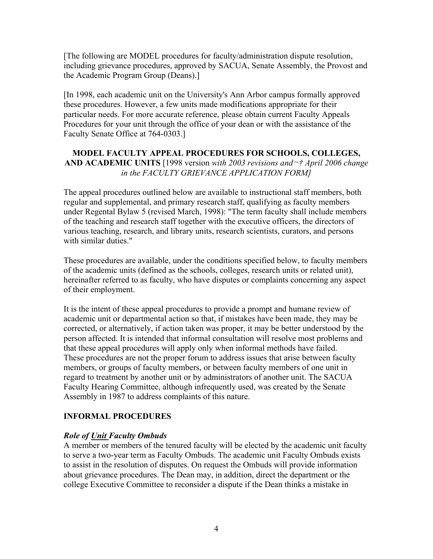[The following are MODEL procedures for faculty/administration dispute resolution, including grievance procedures, approved by SACUA, Senate Assembly, the Provost and the Academic Program Group (Deans).]

[In 1998, each academic unit on the University's Ann Arbor campus formally approved these procedures. However, a few units made modifications appropriate for their particular needs. For more accurate reference, please obtain current Faculty Appeals Procedures for your unit through the office of your dean or with the assistance of the Faculty Senate Office at 764-0303.]

## **MODEL FACULTY APPEAL PROCEDURES FOR SCHOOLS, COLLEGES,**  AND ACADEMIC UNITS [1998 version *with 2003 revisions and*  $\neg$ *† April 2006 change in the FACULTY GRIEVANCE APPLICATION FORM]*

The appeal procedures outlined below are available to instructional staff members, both regular and supplemental, and primary research staff, qualifying as faculty members under Regental Bylaw 5 (revised March, 1998): "The term faculty shall include members of the teaching and research staff together with the executive officers, the directors of various teaching, research, and library units, research scientists, curators, and persons with similar duties."

These procedures are available, under the conditions specified below, to faculty members of the academic units (defined as the schools, colleges, research units or related unit), hereinafter referred to as faculty, who have disputes or complaints concerning any aspect of their employment.

It is the intent of these appeal procedures to provide a prompt and humane review of academic unit or departmental action so that, if mistakes have been made, they may be corrected, or alternatively, if action taken was proper, it may be better understood by the person affected. It is intended that informal consultation will resolve most problems and that these appeal procedures will apply only when informal methods have failed. These procedures are not the proper forum to address issues that arise between faculty members, or groups of faculty members, or between faculty members of one unit in regard to treatment by another unit or by administrators of another unit. The SACUA Faculty Hearing Committee, although infrequently used, was created by the Senate Assembly in 1987 to address complaints of this nature.

## **INFORMAL PROCEDURES**

## *Role of Unit Faculty Ombuds*

A member or members of the tenured faculty will be elected by the academic unit faculty to serve a two-year term as Faculty Ombuds. The academic unit Faculty Ombuds exists to assist in the resolution of disputes. On request the Ombuds will provide information about grievance procedures. The Dean may, in addition, direct the department or the college Executive Committee to reconsider a dispute if the Dean thinks a mistake in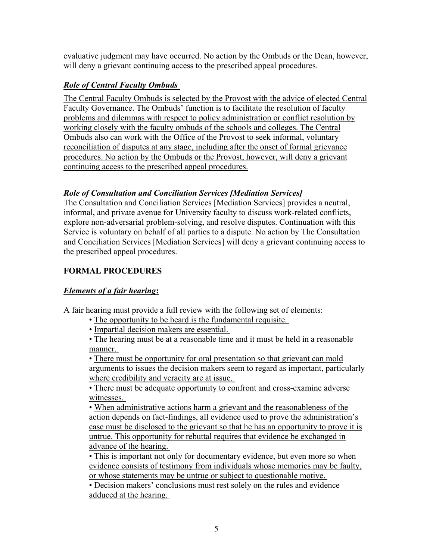evaluative judgment may have occurred. No action by the Ombuds or the Dean, however, will deny a grievant continuing access to the prescribed appeal procedures.

# *Role of Central Faculty Ombuds*

The Central Faculty Ombuds is selected by the Provost with the advice of elected Central Faculty Governance. The Ombuds' function is to facilitate the resolution of faculty problems and dilemmas with respect to policy administration or conflict resolution by working closely with the faculty ombuds of the schools and colleges. The Central Ombuds also can work with the Office of the Provost to seek informal, voluntary reconciliation of disputes at any stage, including after the onset of formal grievance procedures. No action by the Ombuds or the Provost, however, will deny a grievant continuing access to the prescribed appeal procedures.

# *Role of Consultation and Conciliation Services [Mediation Services]*

The Consultation and Conciliation Services [Mediation Services] provides a neutral, informal, and private avenue for University faculty to discuss work-related conflicts, explore non-adversarial problem-solving, and resolve disputes. Continuation with this Service is voluntary on behalf of all parties to a dispute. No action by The Consultation and Conciliation Services [Mediation Services] will deny a grievant continuing access to the prescribed appeal procedures.

# **FORMAL PROCEDURES**

# *Elements of a fair hearing***:**

A fair hearing must provide a full review with the following set of elements:

- The opportunity to be heard is the fundamental requisite.
- Impartial decision makers are essential.

• The hearing must be at a reasonable time and it must be held in a reasonable manner.

• There must be opportunity for oral presentation so that grievant can mold arguments to issues the decision makers seem to regard as important, particularly where credibility and veracity are at issue.

• There must be adequate opportunity to confront and cross-examine adverse witnesses.

• When administrative actions harm a grievant and the reasonableness of the action depends on fact-findings, all evidence used to prove the administration's case must be disclosed to the grievant so that he has an opportunity to prove it is untrue. This opportunity for rebuttal requires that evidence be exchanged in advance of the hearing.

• This is important not only for documentary evidence, but even more so when evidence consists of testimony from individuals whose memories may be faulty, or whose statements may be untrue or subject to questionable motive.

• Decision makers' conclusions must rest solely on the rules and evidence adduced at the hearing.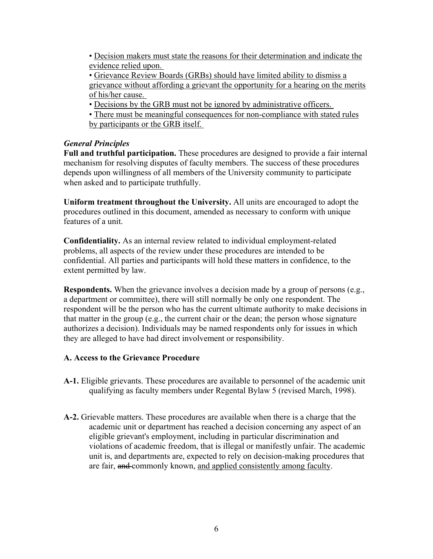• Decision makers must state the reasons for their determination and indicate the evidence relied upon.

• Grievance Review Boards (GRBs) should have limited ability to dismiss a grievance without affording a grievant the opportunity for a hearing on the merits of his/her cause.

- Decisions by the GRB must not be ignored by administrative officers.
- There must be meaningful consequences for non-compliance with stated rules by participants or the GRB itself.

# *General Principles*

**Full and truthful participation.** These procedures are designed to provide a fair internal mechanism for resolving disputes of faculty members. The success of these procedures depends upon willingness of all members of the University community to participate when asked and to participate truthfully.

**Uniform treatment throughout the University.** All units are encouraged to adopt the procedures outlined in this document, amended as necessary to conform with unique features of a unit.

**Confidentiality.** As an internal review related to individual employment-related problems, all aspects of the review under these procedures are intended to be confidential. All parties and participants will hold these matters in confidence, to the extent permitted by law.

**Respondents.** When the grievance involves a decision made by a group of persons (e.g., a department or committee), there will still normally be only one respondent. The respondent will be the person who has the current ultimate authority to make decisions in that matter in the group (e.g., the current chair or the dean; the person whose signature authorizes a decision). Individuals may be named respondents only for issues in which they are alleged to have had direct involvement or responsibility.

# **A. Access to the Grievance Procedure**

- **A-1.** Eligible grievants. These procedures are available to personnel of the academic unit qualifying as faculty members under Regental Bylaw 5 (revised March, 1998).
- **A-2.** Grievable matters. These procedures are available when there is a charge that the academic unit or department has reached a decision concerning any aspect of an eligible grievant's employment, including in particular discrimination and violations of academic freedom, that is illegal or manifestly unfair. The academic unit is, and departments are, expected to rely on decision-making procedures that are fair, and commonly known, and applied consistently among faculty.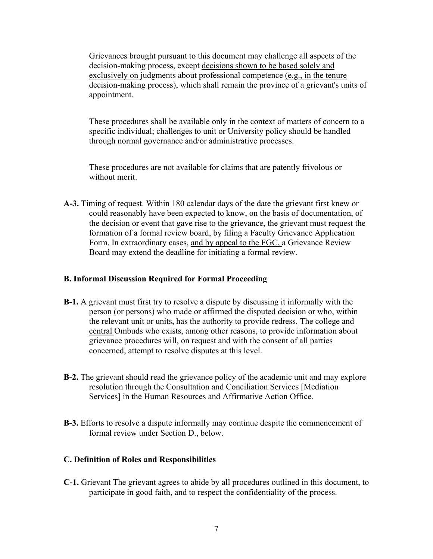Grievances brought pursuant to this document may challenge all aspects of the decision-making process, except decisions shown to be based solely and exclusively on judgments about professional competence (e.g., in the tenure decision-making process), which shall remain the province of a grievant's units of appointment.

These procedures shall be available only in the context of matters of concern to a specific individual; challenges to unit or University policy should be handled through normal governance and/or administrative processes.

These procedures are not available for claims that are patently frivolous or without merit.

**A-3.** Timing of request. Within 180 calendar days of the date the grievant first knew or could reasonably have been expected to know, on the basis of documentation, of the decision or event that gave rise to the grievance, the grievant must request the formation of a formal review board, by filing a Faculty Grievance Application Form. In extraordinary cases, and by appeal to the FGC, a Grievance Review Board may extend the deadline for initiating a formal review.

#### **B. Informal Discussion Required for Formal Proceeding**

- **B-1.** A grievant must first try to resolve a dispute by discussing it informally with the person (or persons) who made or affirmed the disputed decision or who, within the relevant unit or units, has the authority to provide redress. The college and central Ombuds who exists, among other reasons, to provide information about grievance procedures will, on request and with the consent of all parties concerned, attempt to resolve disputes at this level.
- **B-2.** The grievant should read the grievance policy of the academic unit and may explore resolution through the Consultation and Conciliation Services [Mediation Services] in the Human Resources and Affirmative Action Office.
- **B-3.** Efforts to resolve a dispute informally may continue despite the commencement of formal review under Section D., below.

### **C. Definition of Roles and Responsibilities**

**C-1.** Grievant The grievant agrees to abide by all procedures outlined in this document, to participate in good faith, and to respect the confidentiality of the process.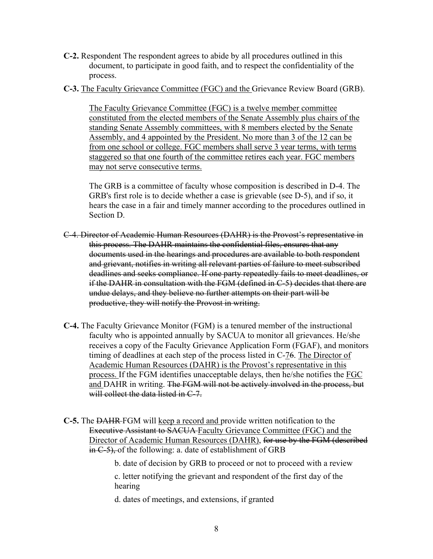- **C-2.** Respondent The respondent agrees to abide by all procedures outlined in this document, to participate in good faith, and to respect the confidentiality of the process.
- **C-3.** The Faculty Grievance Committee (FGC) and the Grievance Review Board (GRB).

The Faculty Grievance Committee (FGC) is a twelve member committee constituted from the elected members of the Senate Assembly plus chairs of the standing Senate Assembly committees, with 8 members elected by the Senate Assembly, and 4 appointed by the President. No more than 3 of the 12 can be from one school or college. FGC members shall serve 3 year terms, with terms staggered so that one fourth of the committee retires each year. FGC members may not serve consecutive terms.

The GRB is a committee of faculty whose composition is described in D-4. The GRB's first role is to decide whether a case is grievable (see D-5), and if so, it hears the case in a fair and timely manner according to the procedures outlined in Section D.

- C-4. Director of Academic Human Resources (DAHR) is the Provost's representative in this process. The DAHR maintains the confidential files, ensures that any documents used in the hearings and procedures are available to both respondent and grievant, notifies in writing all relevant parties of failure to meet subscribed deadlines and seeks compliance. If one party repeatedly fails to meet deadlines, or if the DAHR in consultation with the FGM (defined in C-5) decides that there are undue delays, and they believe no further attempts on their part will be productive, they will notify the Provost in writing.
- **C-4.** The Faculty Grievance Monitor (FGM) is a tenured member of the instructional faculty who is appointed annually by SACUA to monitor all grievances. He/she receives a copy of the Faculty Grievance Application Form (FGAF), and monitors timing of deadlines at each step of the process listed in C-76. The Director of Academic Human Resources (DAHR) is the Provost's representative in this process. If the FGM identifies unacceptable delays, then he/she notifies the FGC and DAHR in writing. The FGM will not be actively involved in the process, but will collect the data listed in C-7.
- **C-5.** The DAHR FGM will keep a record and provide written notification to the Executive Assistant to SACUA Faculty Grievance Committee (FGC) and the Director of Academic Human Resources (DAHR), for use by the FGM (described in C-5), of the following: a. date of establishment of GRB

b. date of decision by GRB to proceed or not to proceed with a review

c. letter notifying the grievant and respondent of the first day of the hearing

d. dates of meetings, and extensions, if granted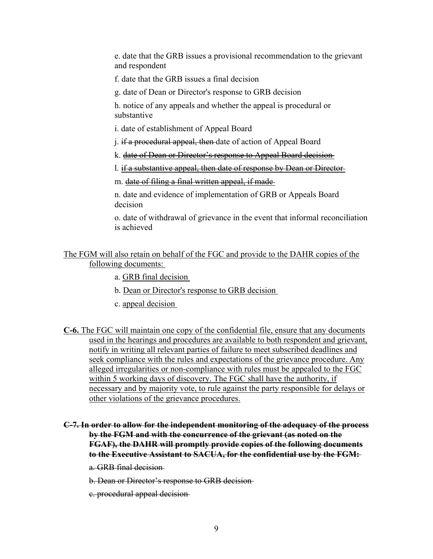e. date that the GRB issues a provisional recommendation to the grievant and respondent

f. date that the GRB issues a final decision

g. date of Dean or Director's response to GRB decision

h. notice of any appeals and whether the appeal is procedural or substantive

i. date of establishment of Appeal Board

j. if a procedural appeal, then date of action of Appeal Board

k. date of Dean or Director's response to Appeal Board decision

l. if a substantive appeal, then date of response by Dean or Director

m. date of filing a final written appeal, if made

n. date and evidence of implementation of GRB or Appeals Board decision

o. date of withdrawal of grievance in the event that informal reconciliation is achieved

### The FGM will also retain on behalf of the FGC and provide to the DAHR copies of the following documents:

a. GRB final decision

b. Dean or Director's response to GRB decision

c. appeal decision

- **C-6.** The FGC will maintain one copy of the confidential file, ensure that any documents used in the hearings and procedures are available to both respondent and grievant, notify in writing all relevant parties of failure to meet subscribed deadlines and seek compliance with the rules and expectations of the grievance procedure. Any alleged irregularities or non-compliance with rules must be appealed to the FGC within 5 working days of discovery. The FGC shall have the authority, if necessary and by majority vote, to rule against the party responsible for delays or other violations of the grievance procedures.
- **C-7. In order to allow for the independent monitoring of the adequacy of the process by the FGM and with the concurrence of the grievant (as noted on the FGAF), the DAHR will promptly provide copies of the following documents to the Executive Assistant to SACUA, for the confidential use by the FGM:**

a. GRB final decision

b. Dean or Director's response to GRB decision

c. procedural appeal decision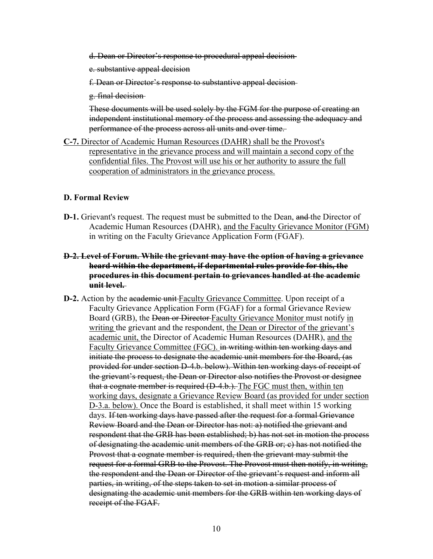- d. Dean or Director's response to procedural appeal decision
- e. substantive appeal decision
- f. Dean or Director's response to substantive appeal decision
- g. final decision

These documents will be used solely by the FGM for the purpose of creating an independent institutional memory of the process and assessing the adequacy and performance of the process across all units and over time.

**C-7.** Director of Academic Human Resources (DAHR) shall be the Provost's representative in the grievance process and will maintain a second copy of the confidential files. The Provost will use his or her authority to assure the full cooperation of administrators in the grievance process.

#### **D. Formal Review**

**D-1.** Grievant's request. The request must be submitted to the Dean, and the Director of Academic Human Resources (DAHR), and the Faculty Grievance Monitor (FGM) in writing on the Faculty Grievance Application Form (FGAF).

### **D-2. Level of Forum. While the grievant may have the option of having a grievance heard within the department, if departmental rules provide for this, the procedures in this document pertain to grievances handled at the academic unit level.**

**D-2.** Action by the academic unit Faculty Grievance Committee. Upon receipt of a Faculty Grievance Application Form (FGAF) for a formal Grievance Review Board (GRB), the <del>Dean or Director Faculty Grievance</del> Monitor must notify in writing the grievant and the respondent, the Dean or Director of the grievant's academic unit, the Director of Academic Human Resources (DAHR), and the Faculty Grievance Committee (FGC). in writing within ten working days and initiate the process to designate the academic unit members for the Board, (as provided for under section D-4.b. below). Within ten working days of receipt of the grievant's request, the Dean or Director also notifies the Provost or designee that a cognate member is required (D-4.b.). The FGC must then, within ten working days, designate a Grievance Review Board (as provided for under section D-3.a. below). Once the Board is established, it shall meet within 15 working days. If ten working days have passed after the request for a formal Grievance Review Board and the Dean or Director has not: a) notified the grievant and respondent that the GRB has been established; b) has not set in motion the process of designating the academic unit members of the GRB or; c) has not notified the Provost that a cognate member is required, then the grievant may submit the request for a formal GRB to the Provost. The Provost must then notify, in writing, the respondent and the Dean or Director of the grievant's request and inform all parties, in writing, of the steps taken to set in motion a similar process of designating the academic unit members for the GRB within ten working days of receipt of the FGAF.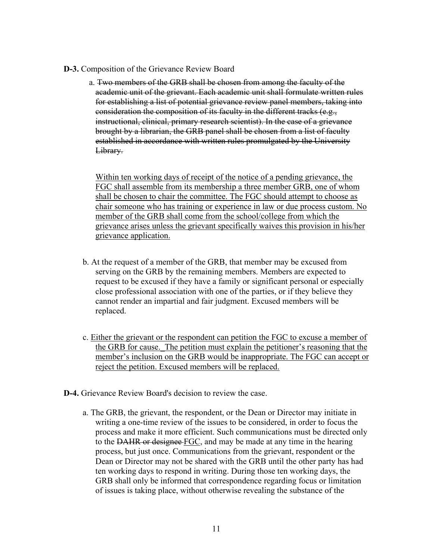- **D-3.** Composition of the Grievance Review Board
	- a. Two members of the GRB shall be chosen from among the faculty of the academic unit of the grievant. Each academic unit shall formulate written rules for establishing a list of potential grievance review panel members, taking into consideration the composition of its faculty in the different tracks (e.g., instructional, clinical, primary research scientist). In the case of a grievance brought by a librarian, the GRB panel shall be chosen from a list of faculty established in accordance with written rules promulgated by the University Library.

Within ten working days of receipt of the notice of a pending grievance, the FGC shall assemble from its membership a three member GRB, one of whom shall be chosen to chair the committee. The FGC should attempt to choose as chair someone who has training or experience in law or due process custom. No member of the GRB shall come from the school/college from which the grievance arises unless the grievant specifically waives this provision in his/her grievance application.

- b. At the request of a member of the GRB, that member may be excused from serving on the GRB by the remaining members. Members are expected to request to be excused if they have a family or significant personal or especially close professional association with one of the parties, or if they believe they cannot render an impartial and fair judgment. Excused members will be replaced.
- c. Either the grievant or the respondent can petition the FGC to excuse a member of the GRB for cause.\_The petition must explain the petitioner's reasoning that the member's inclusion on the GRB would be inappropriate. The FGC can accept or reject the petition. Excused members will be replaced.
- **D-4.** Grievance Review Board's decision to review the case.
	- a. The GRB, the grievant, the respondent, or the Dean or Director may initiate in writing a one-time review of the issues to be considered, in order to focus the process and make it more efficient. Such communications must be directed only to the DAHR or designee FGC, and may be made at any time in the hearing process, but just once. Communications from the grievant, respondent or the Dean or Director may not be shared with the GRB until the other party has had ten working days to respond in writing. During those ten working days, the GRB shall only be informed that correspondence regarding focus or limitation of issues is taking place, without otherwise revealing the substance of the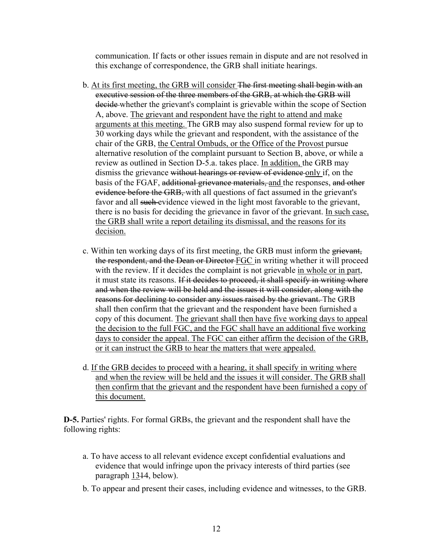communication. If facts or other issues remain in dispute and are not resolved in this exchange of correspondence, the GRB shall initiate hearings.

- b. At its first meeting, the GRB will consider The first meeting shall begin with an executive session of the three members of the GRB, at which the GRB will decide whether the grievant's complaint is grievable within the scope of Section A, above. The grievant and respondent have the right to attend and make arguments at this meeting. The GRB may also suspend formal review for up to 30 working days while the grievant and respondent, with the assistance of the chair of the GRB, the Central Ombuds, or the Office of the Provost pursue alternative resolution of the complaint pursuant to Section B, above, or while a review as outlined in Section D-5.a. takes place. In addition, the GRB may dismiss the grievance without hearings or review of evidence only if, on the basis of the FGAF, additional grievance materials, and the responses, and other evidence before the GRB, with all questions of fact assumed in the grievant's favor and all such evidence viewed in the light most favorable to the grievant, there is no basis for deciding the grievance in favor of the grievant. In such case, the GRB shall write a report detailing its dismissal, and the reasons for its decision.
- c. Within ten working days of its first meeting, the GRB must inform the grievant, the respondent, and the Dean or Director FGC in writing whether it will proceed with the review. If it decides the complaint is not grievable in whole or in part, it must state its reasons. If it decides to proceed, it shall specify in writing where and when the review will be held and the issues it will consider, along with the reasons for declining to consider any issues raised by the grievant. The GRB shall then confirm that the grievant and the respondent have been furnished a copy of this document. The grievant shall then have five working days to appeal the decision to the full FGC, and the FGC shall have an additional five working days to consider the appeal. The FGC can either affirm the decision of the GRB, or it can instruct the GRB to hear the matters that were appealed.
- d. If the GRB decides to proceed with a hearing, it shall specify in writing where and when the review will be held and the issues it will consider. The GRB shall then confirm that the grievant and the respondent have been furnished a copy of this document.

**D-5.** Parties' rights. For formal GRBs, the grievant and the respondent shall have the following rights:

- a. To have access to all relevant evidence except confidential evaluations and evidence that would infringe upon the privacy interests of third parties (see paragraph 1314, below).
- b. To appear and present their cases, including evidence and witnesses, to the GRB.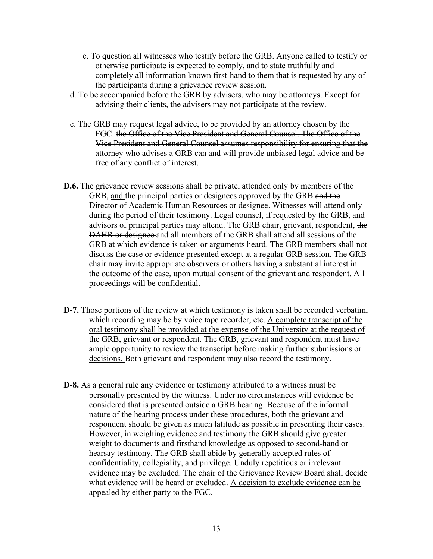- c. To question all witnesses who testify before the GRB. Anyone called to testify or otherwise participate is expected to comply, and to state truthfully and completely all information known first-hand to them that is requested by any of the participants during a grievance review session.
- d. To be accompanied before the GRB by advisers, who may be attorneys. Except for advising their clients, the advisers may not participate at the review.
- e. The GRB may request legal advice, to be provided by an attorney chosen by the FGC. the Office of the Vice President and General Counsel. The Office of the Vice President and General Counsel assumes responsibility for ensuring that the attorney who advises a GRB can and will provide unbiased legal advice and be free of any conflict of interest.
- **D.6.** The grievance review sessions shall be private, attended only by members of the GRB, and the principal parties or designees approved by the GRB and the Director of Academic Human Resources or designee. Witnesses will attend only during the period of their testimony. Legal counsel, if requested by the GRB, and advisors of principal parties may attend. The GRB chair, grievant, respondent, the DAHR or designee and all members of the GRB shall attend all sessions of the GRB at which evidence is taken or arguments heard. The GRB members shall not discuss the case or evidence presented except at a regular GRB session. The GRB chair may invite appropriate observers or others having a substantial interest in the outcome of the case, upon mutual consent of the grievant and respondent. All proceedings will be confidential.
- **D-7.** Those portions of the review at which testimony is taken shall be recorded verbatim, which recording may be by voice tape recorder, etc. A complete transcript of the oral testimony shall be provided at the expense of the University at the request of the GRB, grievant or respondent. The GRB, grievant and respondent must have ample opportunity to review the transcript before making further submissions or decisions. Both grievant and respondent may also record the testimony.
- **D-8.** As a general rule any evidence or testimony attributed to a witness must be personally presented by the witness. Under no circumstances will evidence be considered that is presented outside a GRB hearing. Because of the informal nature of the hearing process under these procedures, both the grievant and respondent should be given as much latitude as possible in presenting their cases. However, in weighing evidence and testimony the GRB should give greater weight to documents and firsthand knowledge as opposed to second-hand or hearsay testimony. The GRB shall abide by generally accepted rules of confidentiality, collegiality, and privilege. Unduly repetitious or irrelevant evidence may be excluded. The chair of the Grievance Review Board shall decide what evidence will be heard or excluded. A decision to exclude evidence can be appealed by either party to the FGC.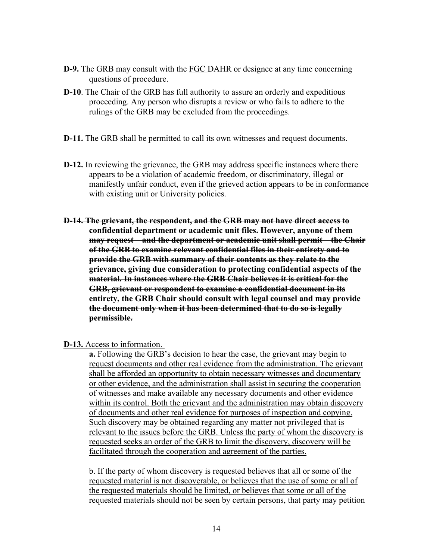- **D-9.** The GRB may consult with the **FGC DAHR** or designee at any time concerning questions of procedure.
- **D-10**. The Chair of the GRB has full authority to assure an orderly and expeditious proceeding. Any person who disrupts a review or who fails to adhere to the rulings of the GRB may be excluded from the proceedings.
- **D-11.** The GRB shall be permitted to call its own witnesses and request documents.
- **D-12.** In reviewing the grievance, the GRB may address specific instances where there appears to be a violation of academic freedom, or discriminatory, illegal or manifestly unfair conduct, even if the grieved action appears to be in conformance with existing unit or University policies.
- **D-14. The grievant, the respondent, and the GRB may not have direct access to confidential department or academic unit files. However, anyone of them may request – and the department or academic unit shall permit – the Chair of the GRB to examine relevant confidential files in their entirety and to provide the GRB with summary of their contents as they relate to the grievance, giving due consideration to protecting confidential aspects of the material. In instances where the GRB Chair believes it is critical for the GRB, grievant or respondent to examine a confidential document in its entirety, the GRB Chair should consult with legal counsel and may provide the document only when it has been determined that to do so is legally permissible.**

**D-13.** Access to information.

**a.** Following the GRB's decision to hear the case, the grievant may begin to request documents and other real evidence from the administration. The grievant shall be afforded an opportunity to obtain necessary witnesses and documentary or other evidence, and the administration shall assist in securing the cooperation of witnesses and make available any necessary documents and other evidence within its control. Both the grievant and the administration may obtain discovery of documents and other real evidence for purposes of inspection and copying. Such discovery may be obtained regarding any matter not privileged that is relevant to the issues before the GRB. Unless the party of whom the discovery is requested seeks an order of the GRB to limit the discovery, discovery will be facilitated through the cooperation and agreement of the parties.

b. If the party of whom discovery is requested believes that all or some of the requested material is not discoverable, or believes that the use of some or all of the requested materials should be limited, or believes that some or all of the requested materials should not be seen by certain persons, that party may petition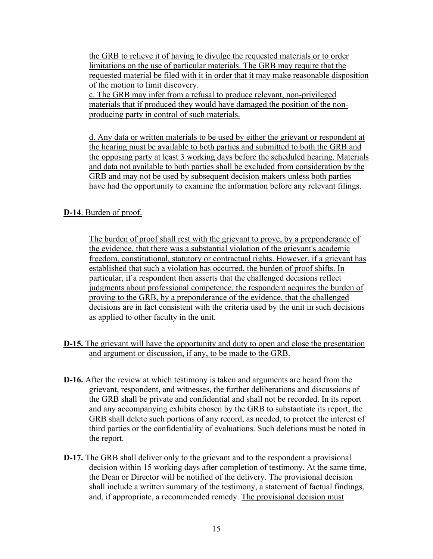the GRB to relieve it of having to divulge the requested materials or to order limitations on the use of particular materials. The GRB may require that the requested material be filed with it in order that it may make reasonable disposition of the motion to limit discovery.

c. The GRB may infer from a refusal to produce relevant, non-privileged materials that if produced they would have damaged the position of the nonproducing party in control of such materials.

d. Any data or written materials to be used by either the grievant or respondent at the hearing must be available to both parties and submitted to both the GRB and the opposing party at least 3 working days before the scheduled hearing. Materials and data not available to both parties shall be excluded from consideration by the GRB and may not be used by subsequent decision makers unless both parties have had the opportunity to examine the information before any relevant filings.

# **D-14**. Burden of proof.

The burden of proof shall rest with the grievant to prove, by a preponderance of the evidence, that there was a substantial violation of the grievant's academic freedom, constitutional, statutory or contractual rights. However, if a grievant has established that such a violation has occurred, the burden of proof shifts. In particular, if a respondent then asserts that the challenged decisions reflect judgments about professional competence, the respondent acquires the burden of proving to the GRB, by a preponderance of the evidence, that the challenged decisions are in fact consistent with the criteria used by the unit in such decisions as applied to other faculty in the unit.

- **D-15.** The grievant will have the opportunity and duty to open and close the presentation and argument or discussion, if any, to be made to the GRB.
- **D-16.** After the review at which testimony is taken and arguments are heard from the grievant, respondent, and witnesses, the further deliberations and discussions of the GRB shall be private and confidential and shall not be recorded. In its report and any accompanying exhibits chosen by the GRB to substantiate its report, the GRB shall delete such portions of any record, as needed, to protect the interest of third parties or the confidentiality of evaluations. Such deletions must be noted in the report.
- **D-17.** The GRB shall deliver only to the grievant and to the respondent a provisional decision within 15 working days after completion of testimony. At the same time, the Dean or Director will be notified of the delivery. The provisional decision shall include a written summary of the testimony, a statement of factual findings, and, if appropriate, a recommended remedy. The provisional decision must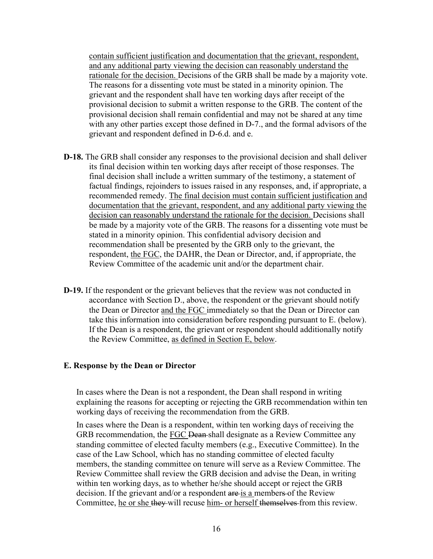contain sufficient justification and documentation that the grievant, respondent, and any additional party viewing the decision can reasonably understand the rationale for the decision. Decisions of the GRB shall be made by a majority vote. The reasons for a dissenting vote must be stated in a minority opinion. The grievant and the respondent shall have ten working days after receipt of the provisional decision to submit a written response to the GRB. The content of the provisional decision shall remain confidential and may not be shared at any time with any other parties except those defined in D-7., and the formal advisors of the grievant and respondent defined in D-6.d. and e.

- **D-18.** The GRB shall consider any responses to the provisional decision and shall deliver its final decision within ten working days after receipt of those responses. The final decision shall include a written summary of the testimony, a statement of factual findings, rejoinders to issues raised in any responses, and, if appropriate, a recommended remedy. The final decision must contain sufficient justification and documentation that the grievant, respondent, and any additional party viewing the decision can reasonably understand the rationale for the decision. Decisions shall be made by a majority vote of the GRB. The reasons for a dissenting vote must be stated in a minority opinion. This confidential advisory decision and recommendation shall be presented by the GRB only to the grievant, the respondent, the FGC, the DAHR, the Dean or Director, and, if appropriate, the Review Committee of the academic unit and/or the department chair.
- **D-19.** If the respondent or the grievant believes that the review was not conducted in accordance with Section D., above, the respondent or the grievant should notify the Dean or Director and the FGC immediately so that the Dean or Director can take this information into consideration before responding pursuant to E. (below). If the Dean is a respondent, the grievant or respondent should additionally notify the Review Committee, as defined in Section E, below.

#### **E. Response by the Dean or Director**

In cases where the Dean is not a respondent, the Dean shall respond in writing explaining the reasons for accepting or rejecting the GRB recommendation within ten working days of receiving the recommendation from the GRB.

In cases where the Dean is a respondent, within ten working days of receiving the GRB recommendation, the FGC Dean-shall designate as a Review Committee any standing committee of elected faculty members (e.g., Executive Committee). In the case of the Law School, which has no standing committee of elected faculty members, the standing committee on tenure will serve as a Review Committee. The Review Committee shall review the GRB decision and advise the Dean, in writing within ten working days, as to whether he/she should accept or reject the GRB decision. If the grievant and/or a respondent are is a members of the Review Committee, he or she they will recuse him- or herself themselves from this review.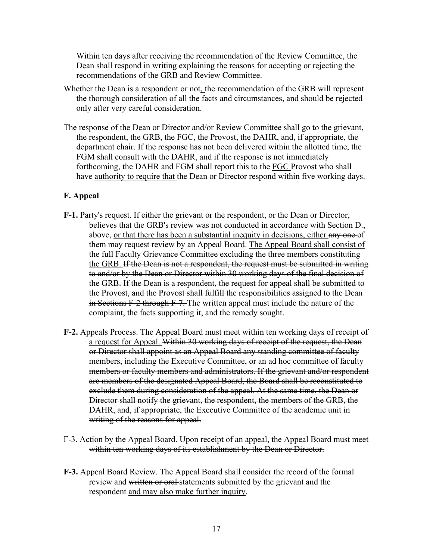Within ten days after receiving the recommendation of the Review Committee, the Dean shall respond in writing explaining the reasons for accepting or rejecting the recommendations of the GRB and Review Committee.

- Whether the Dean is a respondent or not, the recommendation of the GRB will represent the thorough consideration of all the facts and circumstances, and should be rejected only after very careful consideration.
- The response of the Dean or Director and/or Review Committee shall go to the grievant, the respondent, the GRB, the FGC, the Provost, the DAHR, and, if appropriate, the department chair. If the response has not been delivered within the allotted time, the FGM shall consult with the DAHR, and if the response is not immediately forthcoming, the DAHR and FGM shall report this to the **FGC Provost** who shall have authority to require that the Dean or Director respond within five working days.

# **F. Appeal**

- **F-1.** Party's request. If either the grievant or the respondent, or the Dean or Director, believes that the GRB's review was not conducted in accordance with Section D., above, or that there has been a substantial inequity in decisions, either any one of them may request review by an Appeal Board. The Appeal Board shall consist of the full Faculty Grievance Committee excluding the three members constituting the GRB. If the Dean is not a respondent, the request must be submitted in writing to and/or by the Dean or Director within 30 working days of the final decision of the GRB. If the Dean is a respondent, the request for appeal shall be submitted to the Provost, and the Provost shall fulfill the responsibilities assigned to the Dean in Sections F-2 through F-7. The written appeal must include the nature of the complaint, the facts supporting it, and the remedy sought.
- **F-2.** Appeals Process. The Appeal Board must meet within ten working days of receipt of a request for Appeal. Within 30 working days of receipt of the request, the Dean or Director shall appoint as an Appeal Board any standing committee of faculty members, including the Executive Committee, or an ad hoc committee of faculty members or faculty members and administrators. If the grievant and/or respondent are members of the designated Appeal Board, the Board shall be reconstituted to exclude them during consideration of the appeal. At the same time, the Dean or Director shall notify the grievant, the respondent, the members of the GRB, the DAHR, and, if appropriate, the Executive Committee of the academic unit in writing of the reasons for appeal.
- F-3. Action by the Appeal Board. Upon receipt of an appeal, the Appeal Board must meet within ten working days of its establishment by the Dean or Director.
- **F-3.** Appeal Board Review. The Appeal Board shall consider the record of the formal review and written or oral statements submitted by the grievant and the respondent and may also make further inquiry.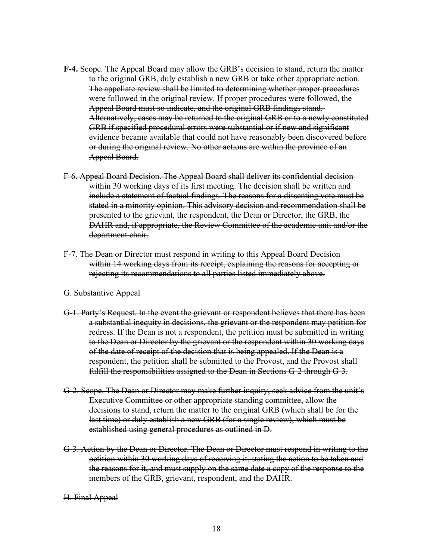- **F-4.** Scope. The Appeal Board may allow the GRB's decision to stand, return the matter to the original GRB, duly establish a new GRB or take other appropriate action. The appellate review shall be limited to determining whether proper procedures were followed in the original review. If proper procedures were followed, the Appeal Board must so indicate, and the original GRB findings stand. Alternatively, cases may be returned to the original GRB or to a newly constituted GRB if specified procedural errors were substantial or if new and significant evidence became available that could not have reasonably been discovered before or during the original review. No other actions are within the province of an Appeal Board.
- F-6. Appeal Board Decision. The Appeal Board shall deliver its confidential decision within 30 working days of its first meeting. The decision shall be written and include a statement of factual findings. The reasons for a dissenting vote must be stated in a minority opinion. This advisory decision and recommendation shall be presented to the grievant, the respondent, the Dean or Director, the GRB, the DAHR and, if appropriate, the Review Committee of the academic unit and/or the department chair.
- F-7. The Dean or Director must respond in writing to this Appeal Board Decision within 14 working days from its receipt, explaining the reasons for accepting or rejecting its recommendations to all parties listed immediately above.
- G. Substantive Appeal
- G-1. Party's Request. In the event the grievant or respondent believes that there has been a substantial inequity in decisions, the grievant or the respondent may petition for redress. If the Dean is not a respondent, the petition must be submitted in writing to the Dean or Director by the grievant or the respondent within 30 working days of the date of receipt of the decision that is being appealed. If the Dean is a respondent, the petition shall be submitted to the Provost, and the Provost shall fulfill the responsibilities assigned to the Dean in Sections G-2 through G-3.
- G-2. Scope. The Dean or Director may make further inquiry, seek advice from the unit's Executive Committee or other appropriate standing committee, allow the decisions to stand, return the matter to the original GRB (which shall be for the last time) or duly establish a new GRB (for a single review), which must be established using general procedures as outlined in D.
- G-3. Action by the Dean or Director. The Dean or Director must respond in writing to the petition within 30 working days of receiving it, stating the action to be taken and the reasons for it, and must supply on the same date a copy of the response to the members of the GRB, grievant, respondent, and the DAHR.
- H. Final Appeal